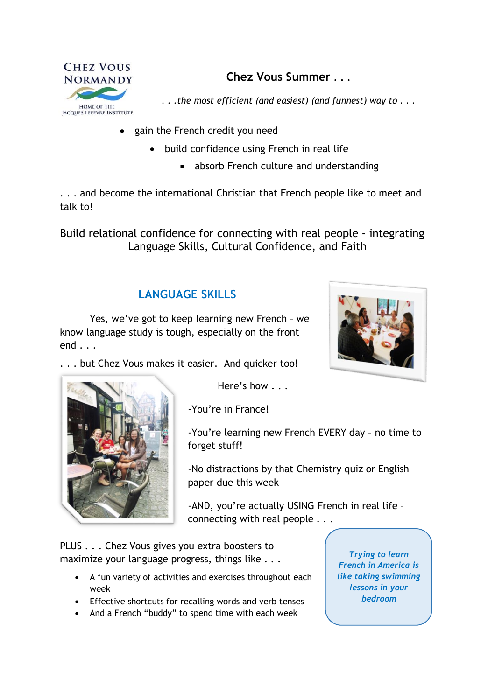

**Chez Vous Summer . . .**

*. . .the most efficient (and easiest) (and funnest) way to . . .*

- gain the French credit you need
	- build confidence using French in real life
		- absorb French culture and understanding

. . . and become the international Christian that French people like to meet and talk to!

Build relational confidence for connecting with real people - integrating Language Skills, Cultural Confidence, and Faith

# **LANGUAGE SKILLS**



Yes, we've got to keep learning new French – we know language study is tough, especially on the front end . . .

. . . but Chez Vous makes it easier. And quicker too!



Here's how . . .

-You're in France!

-You're learning new French EVERY day – no time to forget stuff!

-No distractions by that Chemistry quiz or English paper due this week

-AND, you're actually USING French in real life – connecting with real people . . .

PLUS . . . Chez Vous gives you extra boosters to maximize your language progress, things like . . .

- A fun variety of activities and exercises throughout each week
- Effective shortcuts for recalling words and verb tenses
- And a French "buddy" to spend time with each week

*Trying to learn French in America is like taking swimming lessons in your bedroom*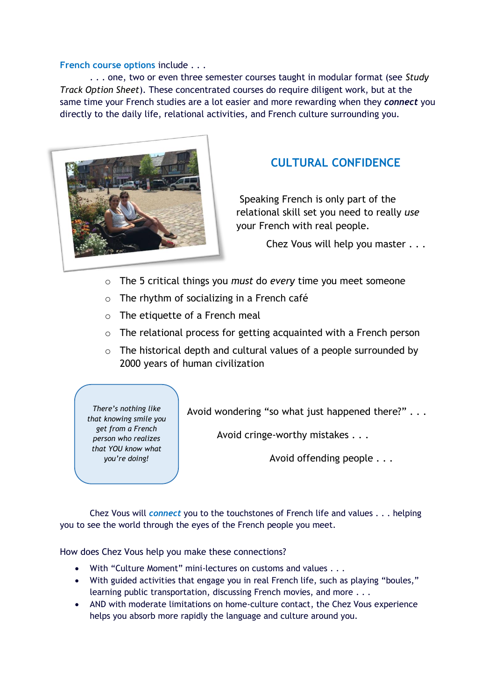#### **French course options** include . . .

. . . one, two or even three semester courses taught in modular format (see *Study Track Option Sheet*). These concentrated courses do require diligent work, but at the same time your French studies are a lot easier and more rewarding when they *connect* you directly to the daily life, relational activities, and French culture surrounding you.



## **CULTURAL CONFIDENCE**

Speaking French is only part of the relational skill set you need to really *use* your French with real people.

Chez Vous will help you master . . .

- o The 5 critical things you *must* do *every* time you meet someone
- $\circ$  The rhythm of socializing in a French café
- o The etiquette of a French meal
- o The relational process for getting acquainted with a French person
- $\circ$  The historical depth and cultural values of a people surrounded by 2000 years of human civilization

*There's nothing like that knowing smile you get from a French person who realizes that YOU know what you're doing!*

Avoid wondering "so what just happened there?" . . .

Avoid cringe-worthy mistakes . . .

Avoid offending people . . .

Chez Vous will *connect* you to the touchstones of French life and values . . . helping you to see the world through the eyes of the French people you meet.

How does Chez Vous help you make these connections?

- With "Culture Moment" mini-lectures on customs and values . . .
- With guided activities that engage you in real French life, such as playing "boules," learning public transportation, discussing French movies, and more . . .
- AND with moderate limitations on home-culture contact, the Chez Vous experience helps you absorb more rapidly the language and culture around you.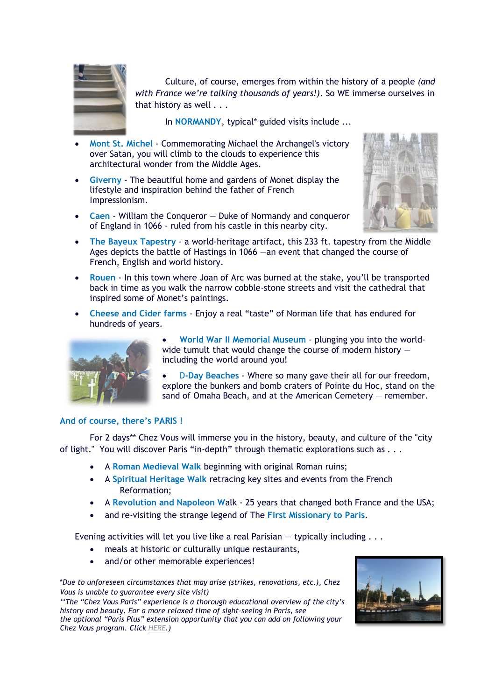![](_page_2_Picture_0.jpeg)

Culture, of course, emerges from within the history of a people *(and with France we're talking thousands of years!)*. So WE immerse ourselves in that history as well . . .

In **NORMANDY**, typical\* guided visits include ...

- **Mont St. Michel** Commemorating Michael the Archangel's victory over Satan, you will climb to the clouds to experience this architectural wonder from the Middle Ages.
- **Giverny** The beautiful home and gardens of Monet display the lifestyle and inspiration behind the father of French Impressionism.
- **Caen** William the Conqueror Duke of Normandy and conqueror of England in 1066 - ruled from his castle in this nearby city.

![](_page_2_Picture_6.jpeg)

- **The Bayeux Tapestry** a world-heritage artifact, this 233 ft. tapestry from the Middle Ages depicts the battle of Hastings in 1066 —an event that changed the course of French, English and world history.
- **Rouen** In this town where Joan of Arc was burned at the stake, you'll be transported back in time as you walk the narrow cobble-stone streets and visit the cathedral that inspired some of Monet's paintings.
- **Cheese and Cider farms** Enjoy a real "taste" of Norman life that has endured for hundreds of years.

![](_page_2_Picture_10.jpeg)

- **World War II Memorial Museum** plunging you into the worldwide tumult that would change the course of modern history including the world around you!
- D**-Day Beaches** Where so many gave their all for our freedom, explore the bunkers and bomb craters of Pointe du Hoc, stand on the sand of Omaha Beach, and at the American Cemetery — remember.

#### **And of course, there's PARIS !**

For 2 days\*\* Chez Vous will immerse you in the history, beauty, and culture of the "city of light." You will discover Paris "in-depth" through thematic explorations such as . . .

- A **Roman Medieval Walk** beginning with original Roman ruins;
- A **Spiritual Heritage Walk** retracing key sites and events from the French Reformation;
- A **Revolution and Napoleon W**alk 25 years that changed both France and the USA;
- and re-visiting the strange legend of The **First Missionary to Paris**.

Evening activities will let you live like a real Parisian  $-$  typically including  $\ldots$ 

- meals at historic or culturally unique restaurants,
- and/or other memorable experiences!

\**Due to unforeseen circumstances that may arise (strikes, renovations, etc.), Chez Vous is unable to guarantee every site visit)*

*\*\*The "Chez Vous Paris" experience is a thorough educational overview of the city's history and beauty. For a more relaxed time of sight-seeing in Paris, see the optional "Paris Plus" extension opportunity that you can add on following your Chez Vous program. Click [HERE.](../CV%20materials/ParisPlus.pdf))*

![](_page_2_Picture_24.jpeg)